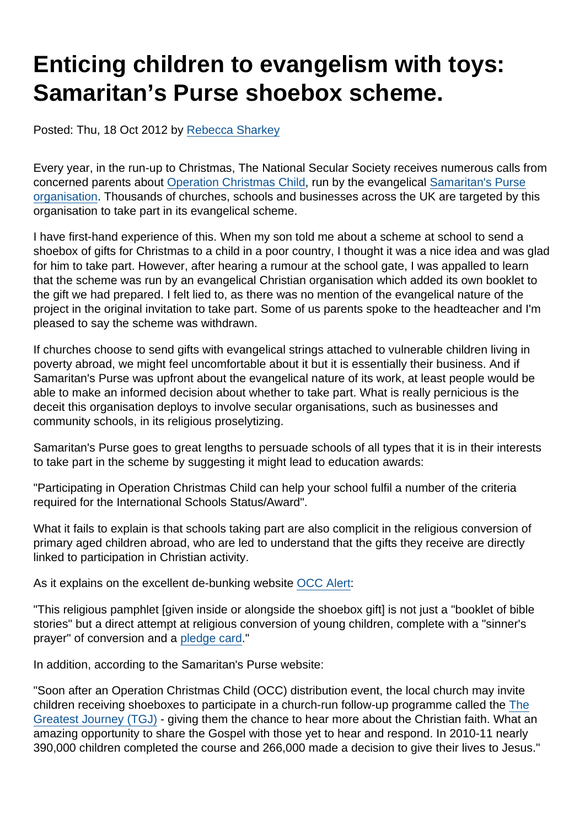# Enticing children to evangelism with toys: Samaritan's Purse shoebox scheme.

Posted: Thu, 18 Oct 2012 by [Rebecca Sharkey](https://www.secularism.org.uk/opinion/authors/951)

Every year, in the run-up to Christmas, The National Secular Society receives numerous calls from concerned parents about [Operation Christmas Child,](http://www.operationchristmaschild.org.uk/) run by the evangelical [Samaritan's Purse](http://www.samaritans-purse.org.uk/) [organisation](http://www.samaritans-purse.org.uk/). Thousands of churches, schools and businesses across the UK are targeted by this organisation to take part in its evangelical scheme.

I have first-hand experience of this. When my son told me about a scheme at school to send a shoebox of gifts for Christmas to a child in a poor country, I thought it was a nice idea and was glad for him to take part. However, after hearing a rumour at the school gate, I was appalled to learn that the scheme was run by an evangelical Christian organisation which added its own booklet to the gift we had prepared. I felt lied to, as there was no mention of the evangelical nature of the project in the original invitation to take part. Some of us parents spoke to the headteacher and I'm pleased to say the scheme was withdrawn.

If churches choose to send gifts with evangelical strings attached to vulnerable children living in poverty abroad, we might feel uncomfortable about it but it is essentially their business. And if Samaritan's Purse was upfront about the evangelical nature of its work, at least people would be able to make an informed decision about whether to take part. What is really pernicious is the deceit this organisation deploys to involve secular organisations, such as businesses and community schools, in its religious proselytizing.

Samaritan's Purse goes to great lengths to persuade schools of all types that it is in their interests to take part in the scheme by suggesting it might lead to education awards:

"Participating in Operation Christmas Child can help your school fulfil a number of the criteria required for the International Schools Status/Award".

What it fails to explain is that schools taking part are also complicit in the religious conversion of primary aged children abroad, who are led to understand that the gifts they receive are directly linked to participation in Christian activity.

As it explains on the excellent de-bunking website [OCC Alert:](https://sites.google.com/site/occalert/)

"This religious pamphlet [given inside or alongside the shoebox gift] is not just a "booklet of bible stories" but a direct attempt at religious conversion of young children, complete with a "sinner's prayer" of conversion and a [pledge card](https://www.secularism.org.uk/uploads/operation-christmas-child.pdf)."

In addition, according to the Samaritan's Purse website:

"Soon after an Operation Christmas Child (OCC) distribution event, the local church may invite children receiving shoeboxes to participate in a church-run follow-up programme called the [The](http://www.samaritans-purse.org.uk/the-greatest-journey) [Greatest Journey \(TGJ\)](http://www.samaritans-purse.org.uk/the-greatest-journey) - giving them the chance to hear more about the Christian faith. What an amazing opportunity to share the Gospel with those yet to hear and respond. In 2010-11 nearly 390,000 children completed the course and 266,000 made a decision to give their lives to Jesus."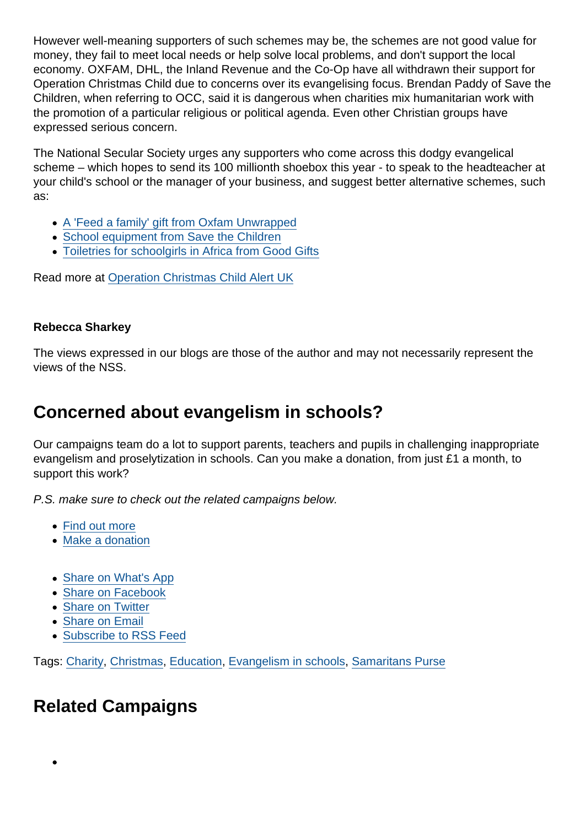However well-meaning supporters of such schemes may be, the schemes are not good value for money, they fail to meet local needs or help solve local problems, and don't support the local economy. OXFAM, DHL, the Inland Revenue and the Co-Op have all withdrawn their support for Operation Christmas Child due to concerns over its evangelising focus. Brendan Paddy of Save the Children, when referring to OCC, said it is dangerous when charities mix humanitarian work with the promotion of a particular religious or political agenda. Even other Christian groups have expressed serious concern.

The National Secular Society urges any supporters who come across this dodgy evangelical scheme – which hopes to send its 100 millionth shoebox this year - to speak to the headteacher at your child's school or the manager of your business, and suggest better alternative schemes, such as:

- [A 'Feed a family' gift from Oxfam Unwrapped](http://www.oxfam.org.uk/shop/product/feed-a-family-corporate-gift-ou7063hu)
- [School equipment from Save the Children](http://shop.savethechildren.org.uk/product/school-equipment/)
- [Toiletries for schoolgirls in Africa from Good Gifts](http://www.goodgifts.org/text-books-1.html)

Read more at [Operation Christmas Child Alert UK](https://sites.google.com/site/occalert/)

Rebecca Sharkey

The views expressed in our blogs are those of the author and may not necessarily represent the views of the NSS.

## Concerned about evangelism in schools?

Our campaigns team do a lot to support parents, teachers and pupils in challenging inappropriate evangelism and proselytization in schools. Can you make a donation, from just £1 a month, to support this work?

P.S. make sure to check out the related campaigns below.

- [Find out more](https://www.secularism.org.uk/petition-evangelism-in-schools.html)
- [Make a donation](https://www.secularism.org.uk/donate.html)
- [Share on What's App](whatsapp://send?text=http://www.secularism.org.uk/opinion/2012/10/enticing-children-to-evangelism-with-toys-samaritans-purse-shoebox-scheme?format=pdf)
- [Share on Facebook](https://www.facebook.com/sharer/sharer.php?u=http://www.secularism.org.uk/opinion/2012/10/enticing-children-to-evangelism-with-toys-samaritans-purse-shoebox-scheme?format=pdf&t=Enticing+children+to+evangelism+with+toys:+Samaritan’s+Purse+shoebox+scheme.)
- [Share on Twitter](https://twitter.com/intent/tweet?url=http://www.secularism.org.uk/opinion/2012/10/enticing-children-to-evangelism-with-toys-samaritans-purse-shoebox-scheme?format=pdf&text=Enticing+children+to+evangelism+with+toys:+Samaritan’s+Purse+shoebox+scheme.&via=NatSecSoc)
- [Share on Email](https://www.secularism.org.uk/share.html?url=http://www.secularism.org.uk/opinion/2012/10/enticing-children-to-evangelism-with-toys-samaritans-purse-shoebox-scheme?format=pdf&title=Enticing+children+to+evangelism+with+toys:+Samaritan’s+Purse+shoebox+scheme.)
- [Subscribe to RSS Feed](/mnt/web-data/www/cp-nss/feeds/rss/news)

Tags: [Charity](https://www.secularism.org.uk/opinion/tags/Charity), [Christmas](https://www.secularism.org.uk/opinion/tags/Christmas), [Education](https://www.secularism.org.uk/opinion/tags/Education), [Evangelism in schools](https://www.secularism.org.uk/opinion/tags/Evangelism+in+schools), [Samaritans Purse](https://www.secularism.org.uk/opinion/tags/Samaritans+Purse)

## Related Campaigns